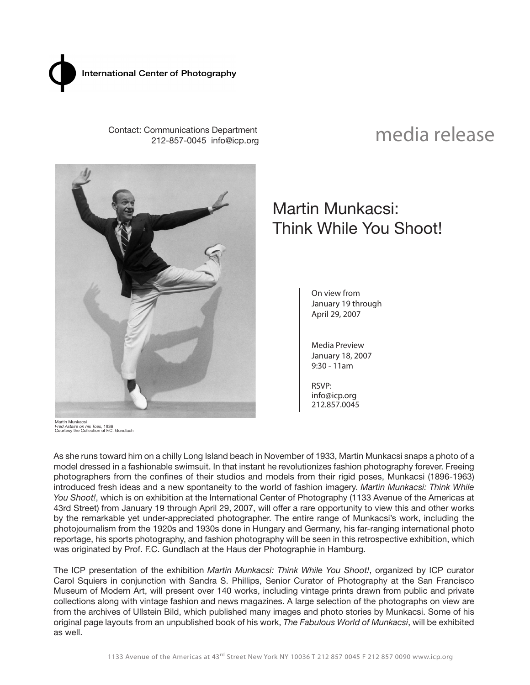

 Contact: Communications Department 212-857-0045 info@icp.org

# media release



Martin Munkacsi *Fred Astaire on his Toes,* 1936 Courtesy the Collection of F.C. Gundlach

## Martin Munkacsi: Think While You Shoot!

On view from January 19 through April 29, 2007

Media Preview January 18, 2007 9:30 - 11am

RSVP: info@icp.org 212.857.0045

As she runs toward him on a chilly Long Island beach in November of 1933, Martin Munkacsi snaps a photo of a model dressed in a fashionable swimsuit. In that instant he revolutionizes fashion photography forever. Freeing photographers from the confines of their studios and models from their rigid poses, Munkacsi (1896-1963) introduced fresh ideas and a new spontaneity to the world of fashion imagery. *Martin Munkacsi: Think While You Shoot!*, which is on exhibition at the International Center of Photography (1133 Avenue of the Americas at 43rd Street) from January 19 through April 29, 2007, will offer a rare opportunity to view this and other works by the remarkable yet under-appreciated photographer. The entire range of Munkacsi's work, including the photojournalism from the 1920s and 1930s done in Hungary and Germany, his far-ranging international photo reportage, his sports photography, and fashion photography will be seen in this retrospective exhibition, which was originated by Prof. F.C. Gundlach at the Haus der Photographie in Hamburg.

The ICP presentation of the exhibition *Martin Munkacsi: Think While You Shoot!*, organized by ICP curator Carol Squiers in conjunction with Sandra S. Phillips, Senior Curator of Photography at the San Francisco Museum of Modern Art, will present over 140 works, including vintage prints drawn from public and private collections along with vintage fashion and news magazines. A large selection of the photographs on view are from the archives of Ullstein Bild, which published many images and photo stories by Munkacsi. Some of his original page layouts from an unpublished book of his work, *The Fabulous World of Munkacsi*, will be exhibited as well.